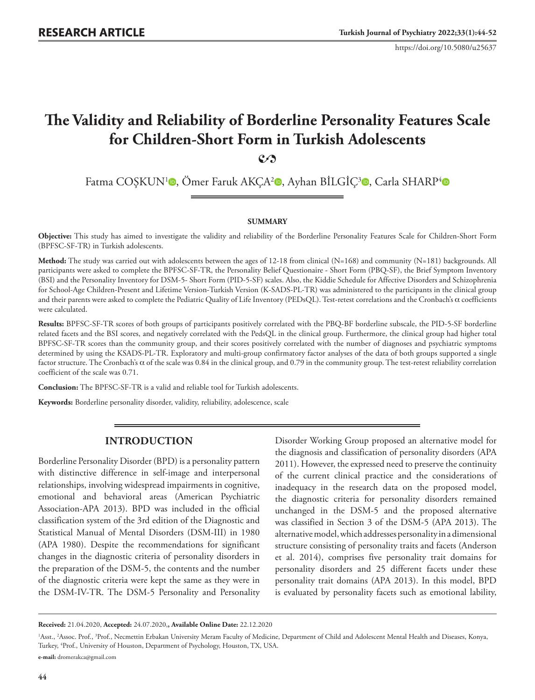https://doi.org/10.5080/u25637

# **The Validity and Reliability of Borderline Personality Features Scale for Children-Short Form in Turkish Adolescents 2**

Fatma COŞKUN<sup>[1](https://orcid.org/0000-0001-6917-2327)</sup><sup>®</sup>[,](https://orcid.org/0000-0002-9712-1874) Ömer Faruk AKÇA<sup>2</sup><sup>®</sup>, Ayhan BİLGİÇ<sup>[3](https://orcid.org/0000-0003-0703-2630)</sup>®, Carla SHARP<sup>4</sup>®

#### **SUMMARY**

**Objective:** This study has aimed to investigate the validity and reliability of the Borderline Personality Features Scale for Children-Short Form (BPFSC-SF-TR) in Turkish adolescents.

**Method:** The study was carried out with adolescents between the ages of 12-18 from clinical (N=168) and community (N=181) backgrounds. All participants were asked to complete the BPFSC-SF-TR, the Personality Belief Questionaire - Short Form (PBQ-SF), the Brief Symptom Inventory (BSI) and the Personality Inventory for DSM-5- Short Form (PID-5-SF) scales. Also, the Kiddie Schedule for Affective Disorders and Schizophrenia for School-Age Children-Present and Lifetime Version-Turkish Version (K-SADS-PL-TR) was administered to the participants in the clinical group and their parents were asked to complete the Pediatric Quality of Life Inventory (PEDsQL). Test-retest correlations and the Cronbach's α coefficients were calculated.

**Results:** BPFSC-SF-TR scores of both groups of participants positively correlated with the PBQ-BF borderline subscale, the PID-5-SF borderline related facets and the BSI scores, and negatively correlated with the PedsQL in the clinical group. Furthermore, the clinical group had higher total BPFSC-SF-TR scores than the community group, and their scores positively correlated with the number of diagnoses and psychiatric symptoms determined by using the KSADS-PL-TR. Exploratory and multi-group confirmatory factor analyses of the data of both groups supported a single factor structure. The Cronbach's α of the scale was 0.84 in the clinical group, and 0.79 in the community group. The test-retest reliability correlation coefficient of the scale was 0.71.

**Conclusion:** The BPFSC-SF-TR is a valid and reliable tool for Turkish adolescents.

**Keywords:** Borderline personality disorder, validity, reliability, adolescence, scale

# **INTRODUCTION**

Borderline Personality Disorder (BPD) is a personality pattern with distinctive difference in self-image and interpersonal relationships, involving widespread impairments in cognitive, emotional and behavioral areas (American Psychiatric Association-APA 2013). BPD was included in the official classification system of the 3rd edition of the Diagnostic and Statistical Manual of Mental Disorders (DSM-III) in 1980 (APA 1980). Despite the recommendations for significant changes in the diagnostic criteria of personality disorders in the preparation of the DSM-5, the contents and the number of the diagnostic criteria were kept the same as they were in the DSM-IV-TR. The DSM-5 Personality and Personality

Disorder Working Group proposed an alternative model for the diagnosis and classification of personality disorders (APA 2011). However, the expressed need to preserve the continuity of the current clinical practice and the considerations of inadequacy in the research data on the proposed model, the diagnostic criteria for personality disorders remained unchanged in the DSM-5 and the proposed alternative was classified in Section 3 of the DSM-5 (APA 2013). The alternative model, which addresses personality in a dimensional structure consisting of personality traits and facets (Anderson et al. 2014), comprises five personality trait domains for personality disorders and 25 different facets under these personality trait domains (APA 2013). In this model, BPD is evaluated by personality facets such as emotional lability,

**Received:** 21.04.2020, **Accepted:** 24.07.2020,**, Available Online Date:** 22.12.2020

<sup>&</sup>lt;sup>1</sup>Asst., <sup>2</sup>Assoc. Prof., <sup>3</sup>Prof., Necmettin Erbakan University Meram Faculty of Medicine, Department of Child and Adolescent Mental Health and Diseases, Konya, Turkey, 4 Prof., University of Houston, Department of Psychology, Houston, TX, USA. **e-mail:** dromerakca@gmail.com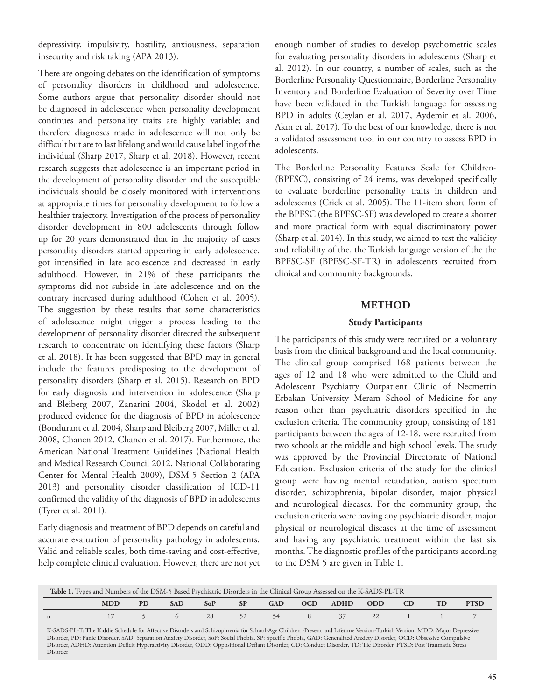depressivity, impulsivity, hostility, anxiousness, separation insecurity and risk taking (APA 2013).

There are ongoing debates on the identification of symptoms of personality disorders in childhood and adolescence. Some authors argue that personality disorder should not be diagnosed in adolescence when personality development continues and personality traits are highly variable; and therefore diagnoses made in adolescence will not only be difficult but are to last lifelong and would cause labelling of the individual (Sharp 2017, Sharp et al. 2018). However, recent research suggests that adolescence is an important period in the development of personality disorder and the susceptible individuals should be closely monitored with interventions at appropriate times for personality development to follow a healthier trajectory. Investigation of the process of personality disorder development in 800 adolescents through follow up for 20 years demonstrated that in the majority of cases personality disorders started appearing in early adolescence, got intensified in late adolescence and decreased in early adulthood. However, in 21% of these participants the symptoms did not subside in late adolescence and on the contrary increased during adulthood (Cohen et al. 2005). The suggestion by these results that some characteristics of adolescence might trigger a process leading to the development of personality disorder directed the subsequent research to concentrate on identifying these factors (Sharp et al. 2018). It has been suggested that BPD may in general include the features predisposing to the development of personality disorders (Sharp et al. 2015). Research on BPD for early diagnosis and intervention in adolescence (Sharp and Bleiberg 2007, Zanarini 2004, Skodol et al. 2002) produced evidence for the diagnosis of BPD in adolescence (Bondurant et al. 2004, Sharp and Bleiberg 2007, Miller et al. 2008, Chanen 2012, Chanen et al. 2017). Furthermore, the American National Treatment Guidelines (National Health and Medical Research Council 2012, National Collaborating Center for Mental Health 2009), DSM-5 Section 2 (APA 2013) and personality disorder classification of ICD-11 confirmed the validity of the diagnosis of BPD in adolescents (Tyrer et al. 2011).

Early diagnosis and treatment of BPD depends on careful and accurate evaluation of personality pathology in adolescents. Valid and reliable scales, both time-saving and cost-effective, help complete clinical evaluation. However, there are not yet enough number of studies to develop psychometric scales for evaluating personality disorders in adolescents (Sharp et al. 2012). In our country, a number of scales, such as the Borderline Personality Questionnaire, Borderline Personality Inventory and Borderline Evaluation of Severity over Time have been validated in the Turkish language for assessing BPD in adults (Ceylan et al. 2017, Aydemir et al. 2006, Akın et al. 2017). To the best of our knowledge, there is not a validated assessment tool in our country to assess BPD in adolescents.

The Borderline Personality Features Scale for Children- (BPFSC), consisting of 24 items, was developed specifically to evaluate borderline personality traits in children and adolescents (Crick et al. 2005). The 11-item short form of the BPFSC (the BPFSC-SF) was developed to create a shorter and more practical form with equal discriminatory power (Sharp et al. 2014). In this study, we aimed to test the validity and reliability of the, the Turkish language version of the the BPFSC-SF (BPFSC-SF-TR) in adolescents recruited from clinical and community backgrounds.

# **METHOD**

## **Study Participants**

The participants of this study were recruited on a voluntary basis from the clinical background and the local community. The clinical group comprised 168 patients between the ages of 12 and 18 who were admitted to the Child and Adolescent Psychiatry Outpatient Clinic of Necmettin Erbakan University Meram School of Medicine for any reason other than psychiatric disorders specified in the exclusion criteria. The community group, consisting of 181 participants between the ages of 12-18, were recruited from two schools at the middle and high school levels. The study was approved by the Provincial Directorate of National Education. Exclusion criteria of the study for the clinical group were having mental retardation, autism spectrum disorder, schizophrenia, bipolar disorder, major physical and neurological diseases. For the community group, the exclusion criteria were having any psychiatric disorder, major physical or neurological diseases at the time of assessment and having any psychiatric treatment within the last six months. The diagnostic profiles of the participants according to the DSM 5 are given in Table 1.

| Table 1. Types and Numbers of the DSM-5 Based Psychiatric Disorders in the Clinical Group Assessed on the K-SADS-PL-TR |            |     |            |            |    |            |  |          |      |  |             |
|------------------------------------------------------------------------------------------------------------------------|------------|-----|------------|------------|----|------------|--|----------|------|--|-------------|
|                                                                                                                        | <b>MDD</b> | PD. | <b>SAD</b> | <b>SoP</b> | SP | <b>GAD</b> |  | OCD ADHD | ODD. |  | <b>PTSD</b> |
|                                                                                                                        |            |     |            | 28         | 52 | 54         |  | 8 37     | 22   |  |             |

K-SADS-PL-T: The Kiddie Schedule for Affective Disorders and Schizophrenia for School-Age Children -Present and Lifetime Version-Turkish Version, MDD: Major Depressive Disorder, PD: Panic Disorder, SAD: Separation Anxiety Disorder, SoP: Social Phobia, SP: Specific Phobia, GAD: Generalized Anxiety Disorder, OCD: Obsessive Compulsive Disorder, ADHD: Attention Deficit Hyperactivity Disorder, ODD: Oppositional Defiant Disorder, CD: Conduct Disorder, TD: Tic Disorder, PTSD: Post Traumatic Stress Disorder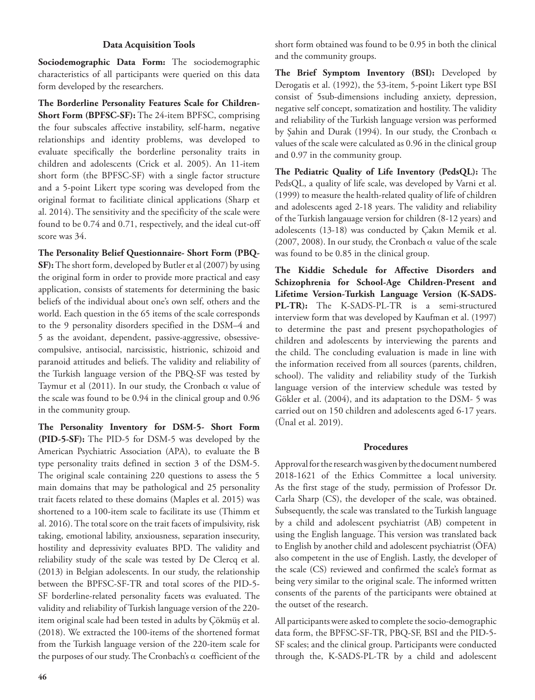## **Data Acquisition Tools**

**Sociodemographic Data Form:** The sociodemographic characteristics of all participants were queried on this data form developed by the researchers.

**The Borderline Personality Features Scale for Children-Short Form (BPFSC-SF):** The 24-item BPFSC, comprising the four subscales affective instability, self-harm, negative relationships and identity problems, was developed to evaluate specifically the borderline personality traits in children and adolescents (Crick et al. 2005). An 11-item short form (the BPFSC-SF) with a single factor structure and a 5-point Likert type scoring was developed from the original format to facilitiate clinical applications (Sharp et al. 2014). The sensitivity and the specificity of the scale were found to be 0.74 and 0.71, respectively, and the ideal cut-off score was 34.

**The Personality Belief Questionnaire- Short Form (PBQ-SF):** The short form, developed by Butler et al (2007) by using the original form in order to provide more practical and easy application, consists of statements for determining the basic beliefs of the individual about one's own self, others and the world. Each question in the 65 items of the scale corresponds to the 9 personality disorders specified in the DSM–4 and 5 as the avoidant, dependent, passive-aggressive, obsessivecompulsive, antisocial, narcissistic, histrionic, schizoid and paranoid attitudes and beliefs. The validity and reliability of the Turkish language version of the PBQ-SF was tested by Taymur et al (2011). In our study, the Cronbach  $\alpha$  value of the scale was found to be 0.94 in the clinical group and 0.96 in the community group.

**The Personality Inventory for DSM-5- Short Form (PID-5-SF):** The PID-5 for DSM-5 was developed by the American Psychiatric Association (APA), to evaluate the B type personality traits defined in section 3 of the DSM-5. The original scale containing 220 questions to assess the 5 main domains that may be pathological and 25 personality trait facets related to these domains (Maples et al. 2015) was shortened to a 100-item scale to facilitate its use (Thimm et al. 2016). The total score on the trait facets of impulsivity, risk taking, emotional lability, anxiousness, separation insecurity, hostility and depressivity evaluates BPD. The validity and reliability study of the scale was tested by De Clercq et al. (2013) in Belgian adolescents. In our study, the relationship between the BPFSC-SF-TR and total scores of the PID-5- SF borderline-related personality facets was evaluated. The validity and reliability of Turkish language version of the 220 item original scale had been tested in adults by Çökmüş et al. (2018). We extracted the 100-items of the shortened format from the Turkish language version of the 220-item scale for the purposes of our study. The Cronbach's  $\alpha$  coefficient of the

short form obtained was found to be 0.95 in both the clinical and the community groups.

**The Brief Symptom Inventory (BSI):** Developed by Derogatis et al. (1992), the 53-item, 5-point Likert type BSI consist of 5sub-dimensions including anxiety, depression, negative self concept, somatization and hostility. The validity and reliability of the Turkish language version was performed by Şahin and Durak (1994). In our study, the Cronbach  $\alpha$ values of the scale were calculated as 0.96 in the clinical group and 0.97 in the community group.

**The Pediatric Quality of Life Inventory (PedsQL):** The PedsQL, a quality of life scale, was developed by Varni et al. (1999) to measure the health-related quality of life of children and adolescents aged 2-18 years. The validity and reliability of the Turkish langauage version for children (8-12 years) and adolescents (13-18) was conducted by Çakın Memik et al. (2007, 2008). In our study, the Cronbach  $\alpha$  value of the scale was found to be 0.85 in the clinical group.

**The Kiddie Schedule for Affective Disorders and Schizophrenia for School-Age Children-Present and Lifetime Version-Turkish Language Version (K-SADS-PL-TR):** The K-SADS-PL-TR is a semi-structured interview form that was developed by Kaufman et al. (1997) to determine the past and present psychopathologies of children and adolescents by interviewing the parents and the child. The concluding evaluation is made in line with the information received from all sources (parents, children, school). The validity and reliability study of the Turkish language version of the interview schedule was tested by Gökler et al. (2004), and its adaptation to the DSM- 5 was carried out on 150 children and adolescents aged 6-17 years. (Ünal et al. 2019).

## **Procedures**

Approval for the research was given by the document numbered 2018-1621 of the Ethics Committee a local university. As the first stage of the study, permission of Professor Dr. Carla Sharp (CS), the developer of the scale, was obtained. Subsequently, the scale was translated to the Turkish language by a child and adolescent psychiatrist (AB) competent in using the English language. This version was translated back to English by another child and adolescent psychiatrist (ÖFA) also competent in the use of English. Lastly, the developer of the scale (CS) reviewed and confirmed the scale's format as being very similar to the original scale. The informed written consents of the parents of the participants were obtained at the outset of the research.

All participants were asked to complete the socio-demographic data form, the BPFSC-SF-TR, PBQ-SF, BSI and the PID-5- SF scales; and the clinical group. Participants were conducted through the, K-SADS-PL-TR by a child and adolescent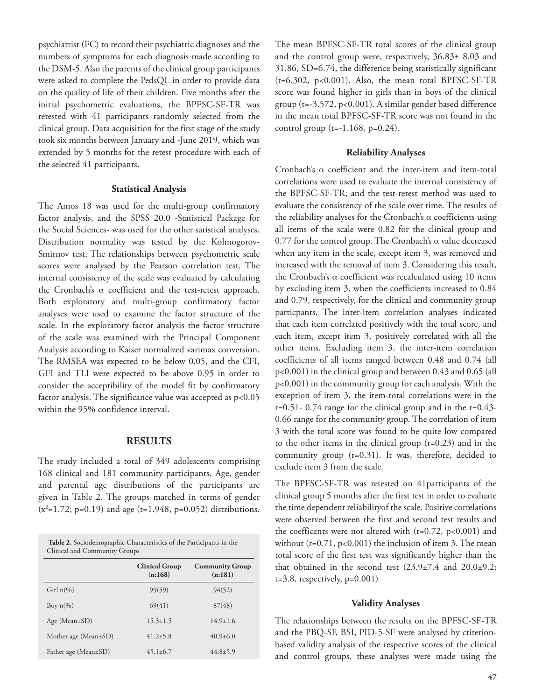psychiatrist (FC) to record their psychiatric diagnoses and the numbers of symptoms for each diagnosis made according to the DSM-5. Also the parents of the clinical group participants were asked to complete the PedsQL in order to provide data on the quality of life of their children. Five months after the initial psychometric evaluations, the BPFSC-SF-TR was retested with 41 participants randomly selected from the clinical group. Data acquisition for the first stage of the study took six months between January and -June 2019, which was extended by 5 months for the retest procedure with each of the selected 41 participants.

#### **Statistical Analysis**

The Amos 18 was used for the multi-group confirmatory factor analysis, and the SPSS 20.0 -Statistical Package for the Social Sciences- was used for the other satistical analyses. Distribution normality was tested by the Kolmogorov-Smirnov test. The relationships between psychometric scale scores were analysed by the Pearson correlation test. The internal consistency of the scale was evaluated by calculating the Cronbach's α coefficient and the test-retest approach. Both exploratory and multi-group confirmatory factor analyses were used to examine the factor structure of the scale. In the exploratory factor analysis the factor structure of the scale was examined with the Principal Component Analysis according to Kaiser normalized varimax conversion. The RMSEA was expected to be below 0.05, and the CFI, GFI and TLI were expected to be above 0.95 in order to consider the acceptibility of the model fit by confirmatory factor analysis. The significance value was accepted as p<0.05 within the 95% confidence interval.

#### **RESULTS**

The study included a total of 349 adolescents comprising 168 clinical and 181 community participants. Age, gender and parental age distributions of the participants are given in Table 2. The groups matched in terms of gender  $(x^2=1.72; p=0.19)$  and age (t=1.948, p=0.052) distributions.

| <b>Table 2.</b> Sociodemographic Characteristics of the Participants in the<br>Clinical and Community Groups |                                  |                                   |  |  |  |  |  |
|--------------------------------------------------------------------------------------------------------------|----------------------------------|-----------------------------------|--|--|--|--|--|
|                                                                                                              | <b>Clinical Group</b><br>(n:168) | <b>Community Group</b><br>(n:181) |  |  |  |  |  |
| Girl $n\frac{6}{6}$                                                                                          | 99(59)                           | 94(52)                            |  |  |  |  |  |
| Boy $n\left(\%\right)$                                                                                       | 69(41)                           | 87(48)                            |  |  |  |  |  |
| Age (Mean $\pm$ SD)                                                                                          | $15.3 \pm 1.5$                   | $14.9+1.6$                        |  |  |  |  |  |
| Mother age (Mean $\pm$ SD)                                                                                   | $41.2 \pm 5.8$                   | $40.9 \pm 6.0$                    |  |  |  |  |  |
| Father age (Mean±SD)                                                                                         | $45.1 \pm 6.7$                   | $44.8 \pm 5.9$                    |  |  |  |  |  |

The mean BPFSC-SF-TR total scores of the clinical group and the control group were, respectively, 36.83± 8.03 and 31.86, SD=6.74, the difference being statistically significant (t=6.302, p<0.001). Also, the mean total BPFSC-SF-TR score was found higher in girls than in boys of the clinical group (t=-3.572, p<0.001). A similar gender based difference in the mean total BPFSC-SF-TR score was not found in the control group ( $t=-1.168$ ,  $p=0.24$ ).

#### **Reliability Analyses**

Cronbach's  $\alpha$  coefficient and the inter-item and item-total correlations were used to evaluate the internal consistency of the BPFSC-SF-TR; and the test-retest method was used to evaluate the consistency of the scale over time. The results of the reliability analyses for the Cronbach's  $\alpha$  coefficients using all items of the scale were 0.82 for the clinical group and 0.77 for the control group. The Cronbach's  $\alpha$  value decreased when any item in the scale, except item 3, was removed and increased with the removal of item 3. Considering this result, the Cronbach's α coefficient was recalculated using 10 items by excluding item 3, when the coefficients increased to 0.84 and 0.79, respectively, for the clinical and community group particpants. The inter-item correlation analyses indicated that each item correlated positively with the total score, and each item, except item 3, positively correlated with all the other items. Excluding item 3, the inter-item correlation coefficients of all items ranged between 0.48 and 0.74 (all p<0.001) in the clinical group and between 0.43 and 0.65 (all p<0.001) in the community group for each analysis. With the exception of item 3, the item-total correlations were in the r=0.51- 0.74 range for the clinical group and in the r=0.43- 0.66 range for the community group. The correlation of item 3 with the total score was found to be quite low compared to the other items in the clinical group (r=0.23) and in the community group (r=0.31). It was, therefore, decided to exclude item 3 from the scale.

The BPFSC-SF-TR was retested on 41participants of the clinical group 5 months after the first test in order to evaluate the time dependent reliabilityof the scale. Positive correlations were observed between the first and second test results and the coefficents were not altered with  $(r=0.72, p<0.001)$  and without  $(r=0.71, p<0.001)$  the inclusion of item 3. The mean total score of the first test was significantly higher than the that obtained in the second test (23.9±7.4 and 20.0±9.2;  $t=3.8$ , respectively,  $p=0.001$ )

#### **Validity Analyses**

The relationships between the results on the BPFSC-SF-TR and the PBQ-SF, BSI, PID-5-SF were analysed by criterionbased validity analysis of the respective scores of the clinical and control groups, these analyses were made using the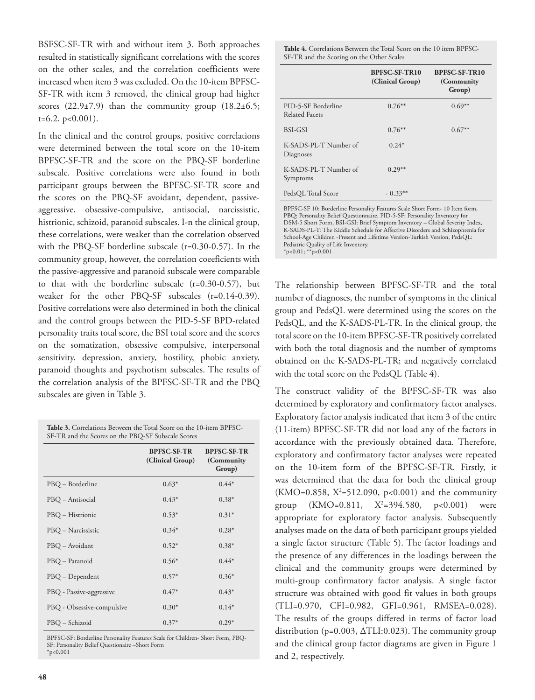BSFSC-SF-TR with and without item 3. Both approaches resulted in statistically significant correlations with the scores on the other scales, and the correlation coefficients were increased when item 3 was excluded. On the 10-item BPFSC-SF-TR with item 3 removed, the clinical group had higher scores  $(22.9\pm7.9)$  than the community group  $(18.2\pm6.5;$  $t=6.2$ ,  $p<0.001$ ).

In the clinical and the control groups, positive correlations were determined between the total score on the 10-item BPFSC-SF-TR and the score on the PBQ-SF borderline subscale. Positive correlations were also found in both participant groups between the BPFSC-SF-TR score and the scores on the PBQ-SF avoidant, dependent, passiveaggressive, obsessive-compulsive, antisocial, narcissistic, histrionic, schizoid, paranoid subscales. I-n the clinical group, these correlations, were weaker than the correlation observed with the PBQ-SF borderline subscale (r=0.30-0.57). In the community group, however, the correlation coeeficients with the passive-aggressive and paranoid subscale were comparable to that with the borderline subscale (r=0.30-0.57), but weaker for the other PBQ-SF subscales (r=0.14-0.39). Positive correlations were also determined in both the clinical and the control groups between the PID-5-SF BPD-related personality traits total score, the BSI total score and the scores on the somatization, obsessive compulsive, interpersonal sensitivity, depression, anxiety, hostility, phobic anxiety, paranoid thoughts and psychotism subscales. The results of the correlation analysis of the BPFSC-SF-TR and the PBQ subscales are given in Table 3.

**Table 3.** Correlations Between the Total Score on the 10-item BPFSC-SF-TR and the Scores on the PBQ-SF Subscale Scores

|                            | <b>BPFSC-SF-TR</b><br>(Clinical Group) | <b>BPFSC-SF-TR</b><br>(Community<br>Group) |
|----------------------------|----------------------------------------|--------------------------------------------|
| PBQ – Borderline           | $0.63*$                                | $0.44*$                                    |
| PBQ - Antisocial           | $0.43*$                                | $0.38*$                                    |
| PBQ – Histrionic           | $0.53*$                                | $0.31*$                                    |
| PBQ – Narcissistic         | $0.34*$                                | $0.28*$                                    |
| PBQ – Avoidant             | $0.52*$                                | $0.38*$                                    |
| PBQ - Paranoid             | $0.56*$                                | $0.44*$                                    |
| PBQ – Dependent            | $0.57*$                                | $0.36*$                                    |
| PBQ - Passive-aggressive   | $0.47*$                                | $0.43*$                                    |
| PBQ - Obsessive-compulsive | $0.30*$                                | $0.14*$                                    |
| PBQ – Schizoid             | $0.37*$                                | $0.29*$                                    |

BPFSC-SF: Borderline Personality Features Scale for Children- Short Form, PBQ-SF: Personality Belief Questionaire –Short Form  $*_{p<0.001}$ 

**Table 4.** Correlations Between the Total Score on the 10 item BPFSC-SF-TR and the Scoring on the Other Scales

|                                       | BPFSC-SF-TR10<br>(Clinical Group) | <b>BPFSC-SF-TR10</b><br>(Community)<br>Group) |
|---------------------------------------|-----------------------------------|-----------------------------------------------|
| PID-5-SF Borderline<br>Related Facets | $0.76**$                          | $0.69**$                                      |
| <b>BSI-GSI</b>                        | $0.76**$                          | $0.67**$                                      |
| K-SADS-PL-T Number of<br>Diagnoses    | $0.24*$                           |                                               |
| K-SADS-PL-T Number of<br>Symptoms     | $0.29**$                          |                                               |
| PedsOL Total Score                    | $-0.33**$                         |                                               |

BPFSC-SF 10: Borderline Personality Features Scale Short Form- 10 Item form, PBQ: Personality Belief Questionnaire, PID-5-SF: Personality Inventory for DSM-5 Short Form, BSI-GSI: Brief Symptom Inventory – Global Severity Index, K-SADS-PL-T: The Kiddie Schedule for Affective Disorders and Schizophrenia for School-Age Children -Present and Lifetime Version-Turkish Version, PedsQL: Pediatric Quality of Life Inventory.  $*p<0.01; **p<0.001$ 

The relationship between BPFSC-SF-TR and the total number of diagnoses, the number of symptoms in the clinical group and PedsQL were determined using the scores on the PedsQL, and the K-SADS-PL-TR. In the clinical group, the total score on the 10-item BPFSC-SF-TR positively correlated with both the total diagnosis and the number of symptoms obtained on the K-SADS-PL-TR; and negatively correlated with the total score on the PedsQL (Table 4).

The construct validity of the BPFSC-SF-TR was also determined by exploratory and confirmatory factor analyses. Exploratory factor analysis indicated that item 3 of the entire (11-item) BPFSC-SF-TR did not load any of the factors in accordance with the previously obtained data. Therefore, exploratory and confirmatory factor analyses were repeated on the 10-item form of the BPFSC-SF-TR. Firstly, it was determined that the data for both the clinical group  $(KMO=0.858, X^2=512.090, p<0.001)$  and the community group  $(KMO=0.811, X^2=394.580,$  $p < 0.001$  were appropriate for exploratory factor analysis. Subsequently analyses made on the data of both participant groups yielded a single factor structure (Table 5). The factor loadings and the presence of any differences in the loadings between the clinical and the community groups were determined by multi-group confirmatory factor analysis. A single factor structure was obtained with good fit values in both groups (TLI=0.970, CFI=0.982, GFI=0.961, RMSEA=0.028). The results of the groups differed in terms of factor load distribution (p=0.003, ∆TLI:0.023). The community group and the clinical group factor diagrams are given in Figure 1 and 2, respectively.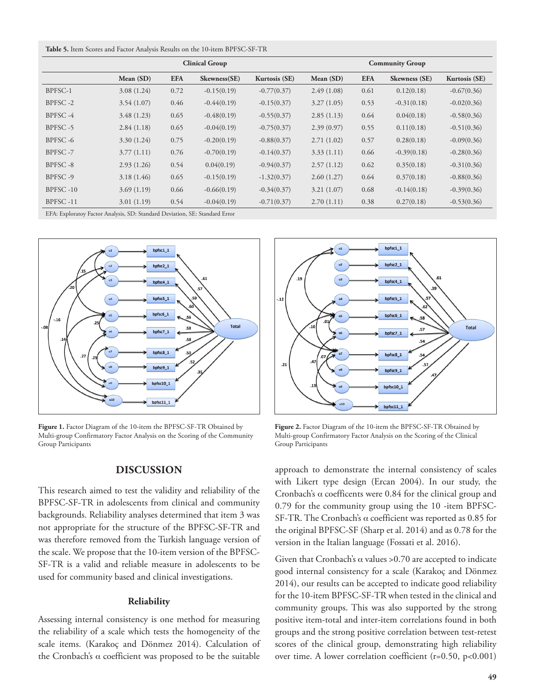| <b>Table 5.</b> Item Scores and Factor Analysis Results on the 10-item BPFSC-SF-TR |  |  |  |  |  |
|------------------------------------------------------------------------------------|--|--|--|--|--|
|------------------------------------------------------------------------------------|--|--|--|--|--|

|          |            | <b>Clinical Group</b> |               | <b>Community Group</b> |            |            |               |               |
|----------|------------|-----------------------|---------------|------------------------|------------|------------|---------------|---------------|
|          | Mean (SD)  | <b>EFA</b>            | Skewness(SE)  | Kurtosis (SE)          | Mean (SD)  | <b>EFA</b> | Skewness (SE) | Kurtosis (SE) |
| BPFSC-1  | 3.08(1.24) | 0.72                  | $-0.15(0.19)$ | $-0.77(0.37)$          | 2.49(1.08) | 0.61       | 0.12(0.18)    | $-0.67(0.36)$ |
| BPFSC-2  | 3.54(1.07) | 0.46                  | $-0.44(0.19)$ | $-0.15(0.37)$          | 3.27(1.05) | 0.53       | $-0.31(0.18)$ | $-0.02(0.36)$ |
| BPFSC-4  | 3.48(1.23) | 0.65                  | $-0.48(0.19)$ | $-0.55(0.37)$          | 2.85(1.13) | 0.64       | 0.04(0.18)    | $-0.58(0.36)$ |
| BPFSC-5  | 2.84(1.18) | 0.65                  | $-0.04(0.19)$ | $-0.75(0.37)$          | 2.39(0.97) | 0.55       | 0.11(0.18)    | $-0.51(0.36)$ |
| BPFSC-6  | 3.30(1.24) | 0.75                  | $-0.20(0.19)$ | $-0.88(0.37)$          | 2.71(1.02) | 0.57       | 0.28(0.18)    | $-0.09(0.36)$ |
| BPFSC-7  | 3.77(1.11) | 0.76                  | $-0.70(0.19)$ | $-0.14(0.37)$          | 3.33(1.11) | 0.66       | $-0.39(0.18)$ | $-0.28(0.36)$ |
| BPFSC-8  | 2.93(1.26) | 0.54                  | 0.04(0.19)    | $-0.94(0.37)$          | 2.57(1.12) | 0.62       | 0.35(0.18)    | $-0.31(0.36)$ |
| BPFSC-9  | 3.18(1.46) | 0.65                  | $-0.15(0.19)$ | $-1.32(0.37)$          | 2.60(1.27) | 0.64       | 0.37(0.18)    | $-0.88(0.36)$ |
| BPFSC-10 | 3.69(1.19) | 0.66                  | $-0.66(0.19)$ | $-0.34(0.37)$          | 3.21(1.07) | 0.68       | $-0.14(0.18)$ | $-0.39(0.36)$ |
| BPFSC-11 | 3.01(1.19) | 0.54                  | $-0.04(0.19)$ | $-0.71(0.37)$          | 2.70(1.11) | 0.38       | 0.27(0.18)    | $-0.53(0.36)$ |

EFA: Exploratoy Factor Analysis, SD: Standard Deviation, SE: Standard Error



Figure 1. Factor Diagram of the 10-item the BPFSC-SF-TR Obtained by Multi-group Confirmatory Factor Analysis on the Scoring of the Community Group Participants

## **DISCUSSION**

This research aimed to test the validity and reliability of the BPFSC-SF-TR in adolescents from clinical and community backgrounds. Reliability analyses determined that item 3 was not appropriate for the structure of the BPFSC-SF-TR and was therefore removed from the Turkish language version of the scale. We propose that the 10-item version of the BPFSC-SF-TR is a valid and reliable measure in adolescents to be used for community based and clinical investigations.

#### **Reliability**

Assessing internal consistency is one method for measuring the reliability of a scale which tests the homogeneity of the scale items. (Karakoç and Dönmez 2014). Calculation of the Cronbach's α coefficient was proposed to be the suitable



**Figure 2.** Factor Diagram of the 10-item the BPFSC-SF-TR Obtained by Multi-group Confirmatory Factor Analysis on the Scoring of the Clinical Group Participants

approach to demonstrate the internal consistency of scales with Likert type design (Ercan 2004). In our study, the Cronbach's  $\alpha$  coefficents were 0.84 for the clinical group and 0.79 for the community group using the 10 -item BPFSC-SF-TR. The Cronbach's α coefficient was reported as 0.85 for the original BPFSC-SF (Sharp et al. 2014) and as 0.78 for the version in the Italian language (Fossati et al. 2016).

Given that Cronbach's  $\alpha$  values >0.70 are accepted to indicate good internal consistency for a scale (Karakoç and Dönmez 2014), our results can be accepted to indicate good reliability for the 10-item BPFSC-SF-TR when tested in the clinical and community groups. This was also supported by the strong positive item-total and inter-item correlations found in both groups and the strong positive correlation between test-retest scores of the clinical group, demonstrating high reliability over time. A lower correlation coefficient (r=0.50, p<0.001)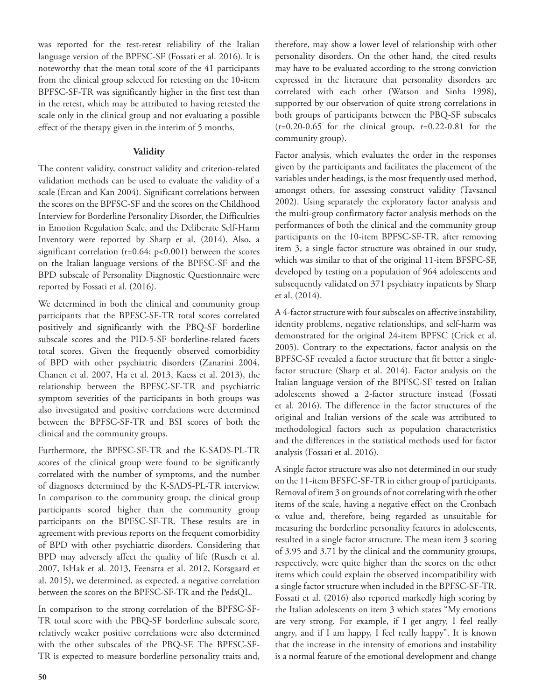was reported for the test-retest reliability of the Italian language version of the BPFSC-SF (Fossati et al. 2016). It is noteworthy that the mean total score of the 41 participants from the clinical group selected for retesting on the 10-item BPFSC-SF-TR was significantly higher in the first test than in the retest, which may be attributed to having retested the scale only in the clinical group and not evaluating a possible effect of the therapy given in the interim of 5 months.

# **Validity**

The content validity, construct validity and criterion-related validation methods can be used to evaluate the validity of a scale (Ercan and Kan 2004). Significant correlations between the scores on the BPFSC-SF and the scores on the Childhood Interview for Borderline Personality Disorder, the Difficulties in Emotion Regulation Scale, and the Deliberate Self-Harm Inventory were reported by Sharp et al. (2014). Also, a significant correlation ( $r=0.64$ ;  $p<0.001$ ) between the scores on the Italian language versions of the BPFSC-SF and the BPD subscale of Personality Diagnostic Questionnaire were reported by Fossati et al. (2016).

We determined in both the clinical and community group participants that the BPFSC-SF-TR total scores correlated positively and significantly with the PBQ-SF borderline subscale scores and the PID-5-SF borderline-related facets total scores. Given the frequently observed comorbidity of BPD with other psychiatric disorders (Zanarini 2004, Chanen et al. 2007, Ha et al. 2013, Kaess et al. 2013), the relationship between the BPFSC-SF-TR and psychiatric symptom severities of the participants in both groups was also investigated and positive correlations were determined between the BPFSC-SF-TR and BSI scores of both the clinical and the community groups.

Furthermore, the BPFSC-SF-TR and the K-SADS-PL-TR scores of the clinical group were found to be significantly correlated with the number of symptoms, and the number of diagnoses determined by the K-SADS-PL-TR interview. In comparison to the community group, the clinical group participants scored higher than the community group participants on the BPFSC-SF-TR. These results are in agreement with previous reports on the frequent comorbidity of BPD with other psychiatric disorders. Considering that BPD may adversely affect the quality of life (Rusch et al. 2007, IsHak et al. 2013, Feenstra et al. 2012, Korsgaard et al. 2015), we determined, as expected, a negative correlation between the scores on the BPFSC-SF-TR and the PedsQL.

In comparison to the strong correlation of the BPFSC-SF-TR total score with the PBQ-SF borderline subscale score, relatively weaker positive correlations were also determined with the other subscales of the PBQ-SF. The BPFSC-SF-TR is expected to measure borderline personality traits and,

therefore, may show a lower level of relationship with other personality disorders. On the other hand, the cited results may have to be evaluated according to the strong conviction expressed in the literature that personality disorders are correlated with each other (Watson and Sinha 1998), supported by our observation of quite strong correlations in both groups of participants between the PBQ-SF subscales  $(r=0.20-0.65)$  for the clinical group,  $r=0.22-0.81$  for the community group).

Factor analysis, which evaluates the order in the responses given by the participants and facilitates the placement of the variables under headings, is the most frequently used method, amongst others, for assessing construct validity (Tavsancıl 2002). Using separately the exploratory factor analysis and the multi-group confirmatory factor analysis methods on the performances of both the clinical and the community group participants on the 10-item BPFSC-SF-TR, after removing item 3, a single factor structure was obtained in our study, which was similar to that of the original 11-item BFSFC-SF, developed by testing on a population of 964 adolescents and subsequently validated on 371 psychiatry inpatients by Sharp et al. (2014).

A 4-factor structure with four subscales on affective instability, identity problems, negative relationships, and self-harm was demonstrated for the original 24-item BPFSC (Crick et al. 2005). Contrary to the expectations, factor analysis on the BPFSC-SF revealed a factor structure that fit better a singlefactor structure (Sharp et al. 2014). Factor analysis on the Italian language version of the BPFSC-SF tested on Italian adolescents showed a 2-factor structure instead (Fossati et al. 2016). The difference in the factor structures of the original and Italian versions of the scale was attributed to methodological factors such as population characteristics and the differences in the statistical methods used for factor analysis (Fossati et al. 2016).

A single factor structure was also not determined in our study on the 11-item BFSFC-SF-TR in either group of participants. Removal of item 3 on grounds of not correlating with the other items of the scale, having a negative effect on the Cronbach α value and, therefore, being regarded as unsuitable for measuring the borderline personality features in adolescents, resulted in a single factor structure. The mean item 3 scoring of 3.95 and 3.71 by the clinical and the community groıups, respectively, were quite higher than the scores on the other items which could explain the observed incompatibility with a single factor structure when included in the BPFSC-SF-TR. Fossati et al. (2016) also reported markedly high scoring by the Italian adolescents on item 3 which states "My emotions are very strong. For example, if I get angry, I feel really angry, and if I am happy, I feel really happy". It is known that the increase in the intensity of emotions and instability is a normal feature of the emotional development and change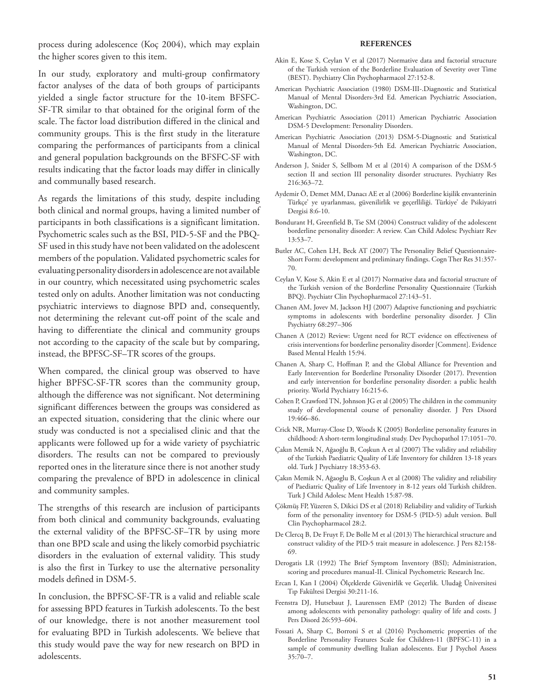process during adolescence (Koç 2004), which may explain the higher scores given to this item.

In our study, exploratory and multi-group confirmatory factor analyses of the data of both groups of participants yielded a single factor structure for the 10-item BFSFC-SF-TR similar to that obtained for the original form of the scale. The factor load distribution differed in the clinical and community groups. This is the first study in the literature comparing the performances of participants from a clinical and general population backgrounds on the BFSFC-SF with results indicating that the factor loads may differ in clinically and communally based research.

As regards the limitations of this study, despite including both clinical and normal groups, having a limited number of participants in both classifications is a significant limitation. Psychometric scales such as the BSI, PID-5-SF and the PBQ-SF used in this study have not been validated on the adolescent members of the population. Validated psychometric scales for evaluating personality disorders in adolescence are not available in our country, which necessitated using psychometric scales tested only on adults. Another limitation was not conducting psychiatric interviews to diagnose BPD and, consequently, not determining the relevant cut-off point of the scale and having to differentiate the clinical and community groups not according to the capacity of the scale but by comparing, instead, the BPFSC-SF–TR scores of the groups.

When compared, the clinical group was observed to have higher BPFSC-SF-TR scores than the community group, although the difference was not significant. Not determining significant differences between the groups was considered as an expected situation, considering that the clinic where our study was conducted is not a specialised clinic and that the applicants were followed up for a wide variety of psychiatric disorders. The results can not be compared to previously reported ones in the literature since there is not another study comparing the prevalence of BPD in adolescence in clinical and community samples.

The strengths of this research are inclusion of participants from both clinical and community backgrounds, evaluating the external validity of the BPFSC-SF–TR by using more than one BPD scale and using the likely comorbid psychiatric disorders in the evaluation of external validity. This study is also the first in Turkey to use the alternative personality models defined in DSM-5.

In conclusion, the BPFSC-SF-TR is a valid and reliable scale for assessing BPD features in Turkish adolescents. To the best of our knowledge, there is not another measurement tool for evaluating BPD in Turkish adolescents. We believe that this study would pave the way for new research on BPD in adolescents.

#### **REFERENCES**

- Akin E, Kose S, Ceylan V et al (2017) Normative data and factorial structure of the Turkish version of the Borderline Evaluation of Severity over Time (BEST). Psychiatry Clin Psychopharmacol 27:152-8.
- American Psychiatric Association (1980) DSM-III-.Diagnostic and Statistical Manual of Mental Disorders-3rd Ed. American Psychiatric Association, Washington, DC.
- American Psychiatric Association (2011) American Psychiatric Association DSM-5 Development: Personality Disorders.
- American Psychiatric Association (2013) DSM-5-Diagnostic and Statistical Manual of Mental Disorders-5th Ed. American Psychiatric Association, Washington, DC.
- Anderson J, Snider S, Sellbom M et al (2014) A comparison of the DSM-5 section II and section III personality disorder structures. Psychiatry Res 216:363–72.
- Aydemir Ö, Demet MM, Danacı AE et al (2006) Borderline kişilik envanterinin Türkçe' ye uyarlanması, güvenilirlik ve geçerlliliği. Türkiye' de Psikiyatri Dergisi 8:6-10.
- Bondurant H, Greenfield B, Tse SM (2004) Construct validity of the adolescent borderline personality disorder: A review. Can Child Adolesc Psychiatr Rev 13:53–7.
- Butler AC, Cohen LH, Beck AT (2007) The Personality Belief Questionnaire-Short Form: development and preliminary findings. Cogn Ther Res 31:357- 70.
- Ceylan V, Kose S, Akin E et al (2017) Normative data and factorial structure of the Turkish version of the Borderline Personality Questionnaire (Turkish BPQ). Psychiatr Clin Psychopharmacol 27:143–51.
- Chanen AM, Jovev M, Jackson HJ (2007) Adaptive functioning and psychiatric symptoms in adolescents with borderline personality disorder. J Clin Psychiatry 68:297–306
- Chanen A (2012) Review: Urgent need for RCT evidence on effectiveness of crisis interventions for borderline personality disorder [Comment]. Evidence Based Mental Health 15:94.
- Chanen A, Sharp C, Hoffman P, and the Global Alliance for Prevention and Early Intervention for Borderline Personality Disorder (2017). Prevention and early intervention for borderline personality disorder: a public health priority. World Psychiatry 16:215-6.
- Cohen P, Crawford TN, Johnson JG et al (2005) The children in the community study of developmental course of personality disorder. J Pers Disord 19:466–86.
- Crick NR, Murray-Close D, Woods K (2005) Borderline personality features in childhood: A short-term longitudinal study. Dev Psychopathol 17:1051–70.
- Çakın Memik N, Ağaoğlu B, Coşkun A et al (2007) The validity and reliability of the Turkish Paediatric Quality of Life Inventory for children 13-18 years old. Turk J Psychiatry 18:353-63.
- Çakın Memik N, Ağaoglu B, Coşkun A et al (2008) The validity and reliability of Paediatric Quality of Life Inventory in 8-12 years old Turkish children. Turk J Child Adolesc Ment Health 15:87-98.
- Çökmüş FP, Yüzeren S, Dikici DS et al (2018) Reliability and validity of Turkish form of the personality inventory for DSM-5 (PID-5) adult version. Bull Clin Psychopharmacol 28:2.
- De Clercq B, De Fruyt F, De Bolle M et al (2013) The hierarchical structure and construct validity of the PID-5 trait measure in adolescence. J Pers 82:158- 69.
- Derogatis LR (1992) The Brief Symptom Inventory (BSI); Administration, scoring and procedures manuaI-II. Clinical Psychometric Research Inc.
- Ercan I, Kan I (2004) Ölçeklerde Güvenirlik ve Geçerlik. Uludağ Üniversitesi Tıp Fakültesi Dergisi 30:211-16.
- Feenstra DJ, Hutsebaut J, Laurenssen EMP (2012) The Burden of disease among adolescents with personality pathology: quality of life and costs. J Pers Disord 26:593–604.
- Fossati A, Sharp C, Borroni S et al (2016) Psychometric properties of the Borderline Personality Features Scale for Children-11 (BPFSC-11) in a sample of community dwelling Italian adolescents. Eur J Psychol Assess 35:70–7.